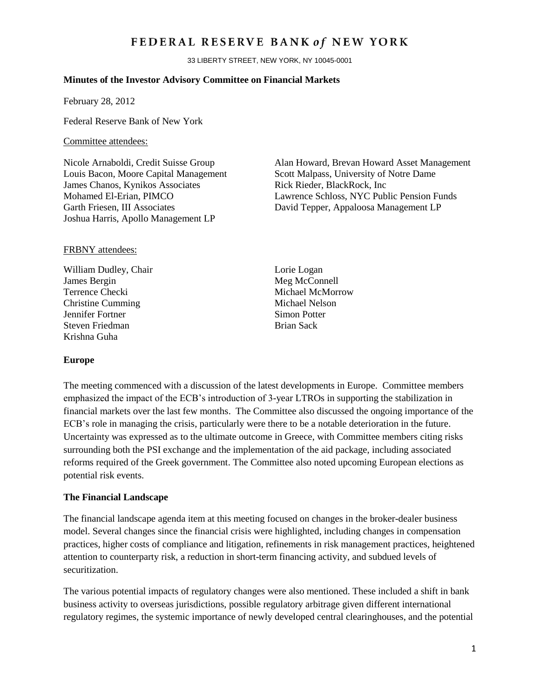## FEDERAL RESERVE BANK of NEW YORK

33 LIBERTY STREET, NEW YORK, NY 10045-0001

#### **Minutes of the Investor Advisory Committee on Financial Markets**

February 28, 2012

Federal Reserve Bank of New York

#### Committee attendees:

Louis Bacon, Moore Capital Management Scott Malpass, University of Notre Dame James Chanos, Kynikos Associates Rick Rieder, BlackRock, Inc Joshua Harris, Apollo Management LP

#### FRBNY attendees:

William Dudley, Chair Lorie Logan James Bergin Meg McConnell Terrence Checki Michael McMorrow Christine Cumming Michael Nelson Jennifer Fortner Simon Potter Steven Friedman Brian Sack Krishna Guha

#### **Europe**

Nicole Arnaboldi, Credit Suisse Group Alan Howard, Brevan Howard Asset Management Mohamed El-Erian, PIMCO Lawrence Schloss, NYC Public Pension Funds Garth Friesen, III Associates David Tepper, Appaloosa Management LP

The meeting commenced with a discussion of the latest developments in Europe. Committee members emphasized the impact of the ECB's introduction of 3-year LTROs in supporting the stabilization in financial markets over the last few months. The Committee also discussed the ongoing importance of the ECB's role in managing the crisis, particularly were there to be a notable deterioration in the future. Uncertainty was expressed as to the ultimate outcome in Greece, with Committee members citing risks surrounding both the PSI exchange and the implementation of the aid package, including associated reforms required of the Greek government. The Committee also noted upcoming European elections as potential risk events.

#### **The Financial Landscape**

The financial landscape agenda item at this meeting focused on changes in the broker-dealer business model. Several changes since the financial crisis were highlighted, including changes in compensation practices, higher costs of compliance and litigation, refinements in risk management practices, heightened attention to counterparty risk, a reduction in short-term financing activity, and subdued levels of securitization.

The various potential impacts of regulatory changes were also mentioned. These included a shift in bank business activity to overseas jurisdictions, possible regulatory arbitrage given different international regulatory regimes, the systemic importance of newly developed central clearinghouses, and the potential